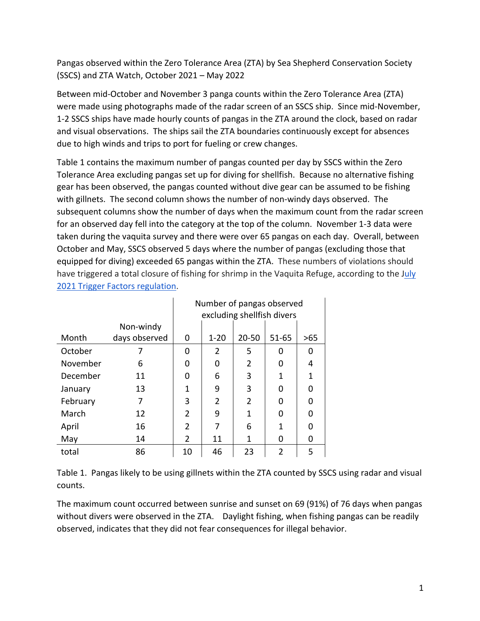Pangas observed within the Zero Tolerance Area (ZTA) by Sea Shepherd Conservation Society (SSCS) and ZTA Watch, October 2021 – May 2022

Between mid-October and November 3 panga counts within the Zero Tolerance Area (ZTA) were made using photographs made of the radar screen of an SSCS ship. Since mid-November, 1-2 SSCS ships have made hourly counts of pangas in the ZTA around the clock, based on radar and visual observations. The ships sail the ZTA boundaries continuously except for absences due to high winds and trips to port for fueling or crew changes.

Table 1 contains the maximum number of pangas counted per day by SSCS within the Zero Tolerance Area excluding pangas set up for diving for shellfish. Because no alternative fishing gear has been observed, the pangas counted without dive gear can be assumed to be fishing with gillnets. The second column shows the number of non-windy days observed. The subsequent columns show the number of days when the maximum count from the radar screen for an observed day fell into the category at the top of the column. November 1-3 data were taken during the vaquita survey and there were over 65 pangas on each day. Overall, between October and May, SSCS observed 5 days where the number of pangas (excluding those that equipped for diving) exceeded 65 pangas within the ZTA. These numbers of violations should have triggered a total closure of fishing for shrimp in the Vaquita Refuge, according to the July 2021 Trigger Factors regulation.

|          |               | Number of pangas observed<br>excluding shellfish divers |                |                |           |     |  |
|----------|---------------|---------------------------------------------------------|----------------|----------------|-----------|-----|--|
|          | Non-windy     |                                                         |                |                |           |     |  |
| Month    | days observed | 0                                                       | $1 - 20$       | 20-50          | $51 - 65$ | >65 |  |
| October  |               | 0                                                       | $\overline{2}$ | 5              | n         | O   |  |
| November | 6             | 0                                                       | O              | $\overline{2}$ | O         | 4   |  |
| December | 11            | 0                                                       | 6              | 3              | 1         |     |  |
| January  | 13            | 1                                                       | 9              | 3              | ŋ         |     |  |
| February | 7             | 3                                                       | $\overline{2}$ | $\overline{2}$ | ŋ         |     |  |
| March    | 12            | $\overline{2}$                                          | 9              | 1              | ŋ         |     |  |
| April    | 16            | $\overline{2}$                                          |                | 6              | 1         |     |  |
| May      | 14            | 2                                                       | 11             | 1              | 0         | O   |  |
| total    | 86            | 10                                                      | 46             | 23             | 2         | 5   |  |

Table 1. Pangas likely to be using gillnets within the ZTA counted by SSCS using radar and visual counts.

The maximum count occurred between sunrise and sunset on 69 (91%) of 76 days when pangas without divers were observed in the ZTA. Daylight fishing, when fishing pangas can be readily observed, indicates that they did not fear consequences for illegal behavior.